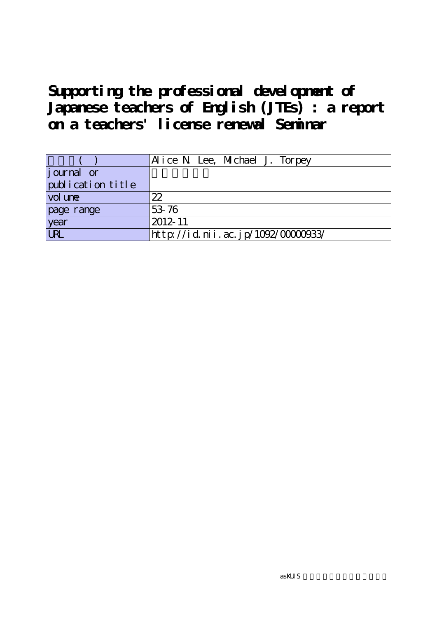**Supporting the professional development of Japanese teachers of English (JTEs) : a report on a teachers' license renewal Seminar**

|                   | Alice N Lee, Michael J. Torpey     |
|-------------------|------------------------------------|
| journal or        |                                    |
| publication title |                                    |
| vol une           | 22                                 |
| page range        | 53-76                              |
| year              | 2012-11                            |
| URL               | http://id.nii.ac.jp/1092/00000933/ |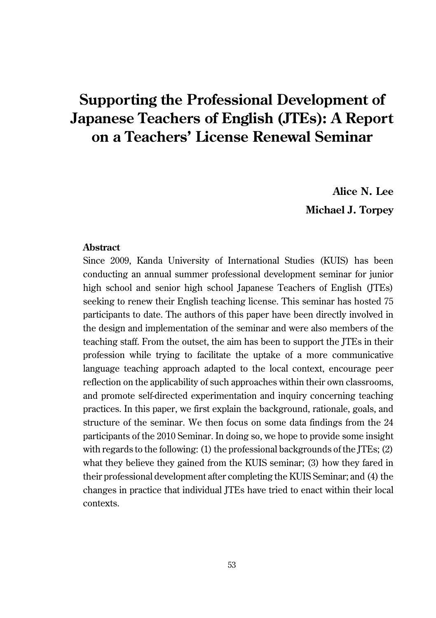# **Supporting the Professional Development of Japanese Teachers of English (JTEs): A Report on a Teachers' License Renewal Seminar**

**Alice N. Lee Michael J. Torpey**

#### **Abstract**

Since 2009, Kanda University of International Studies (KUIS) has been conducting an annual summer professional development seminar for junior high school and senior high school Japanese Teachers of English (ITEs) seeking to renew their English teaching license. This seminar has hosted 75 participants to date. The authors of this paper have been directly involved in the design and implementation of the seminar and were also members of the teaching staff. From the outset, the aim has been to support the JTEs in their profession while trying to facilitate the uptake of a more communicative language teaching approach adapted to the local context, encourage peer reflection on the applicability of such approaches within their own classrooms, and promote self-directed experimentation and inquiry concerning teaching practices. In this paper, we first explain the background, rationale, goals, and structure of the seminar. We then focus on some data findings from the 24 participants of the 2010 Seminar. In doing so, we hope to provide some insight with regards to the following: (1) the professional backgrounds of the ITEs; (2) what they believe they gained from the KUIS seminar; (3) how they fared in their professional development after completing the KUIS Seminar; and (4) the changes in practice that individual JTEs have tried to enact within their local contexts.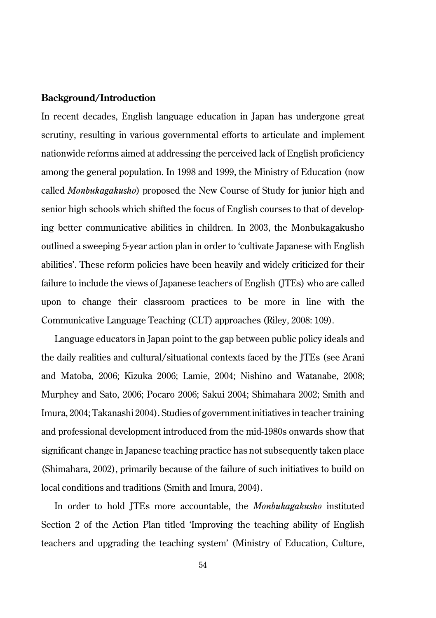#### **Background/Introduction**

In recent decades, English language education in Japan has undergone great scrutiny, resulting in various governmental efforts to articulate and implement nationwide reforms aimed at addressing the perceived lack of English proficiency among the general population. In 1998 and 1999, the Ministry of Education (now called *Monbukagakusho*) proposed the New Course of Study for junior high and senior high schools which shifted the focus of English courses to that of developing better communicative abilities in children. In 2003, the Monbukagakusho outlined a sweeping 5-year action plan in order to 'cultivate Japanese with English abilities'. These reform policies have been heavily and widely criticized for their failure to include the views of Japanese teachers of English (JTEs) who are called upon to change their classroom practices to be more in line with the Communicative Language Teaching (CLT) approaches (Riley, 2008: 109).

Language educators in Japan point to the gap between public policy ideals and the daily realities and cultural/situational contexts faced by the JTEs (see Arani and Matoba, 2006; Kizuka 2006; Lamie, 2004; Nishino and Watanabe, 2008; Murphey and Sato, 2006; Pocaro 2006; Sakui 2004; Shimahara 2002; Smith and Imura, 2004; Takanashi 2004). Studies of government initiatives in teacher training and professional development introduced from the mid-1980s onwards show that significant change in Japanese teaching practice has not subsequently taken place (Shimahara, 2002), primarily because of the failure of such initiatives to build on local conditions and traditions (Smith and Imura, 2004).

In order to hold JTEs more accountable, the *Monbukagakusho* instituted Section 2 of the Action Plan titled 'Improving the teaching ability of English teachers and upgrading the teaching system' (Ministry of Education, Culture,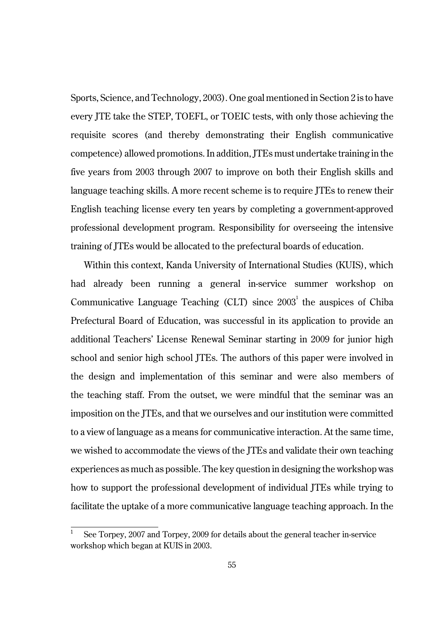Sports, Science, and Technology, 2003). One goal mentioned in Section 2 is to have every JTE take the STEP, TOEFL, or TOEIC tests, with only those achieving the requisite scores (and thereby demonstrating their English communicative competence) allowed promotions. In addition, JTEs must undertake training in the five years from 2003 through 2007 to improve on both their English skills and language teaching skills. A more recent scheme is to require JTEs to renew their English teaching license every ten years by completing a government-approved professional development program. Responsibility for overseeing the intensive training of JTEs would be allocated to the prefectural boards of education.

Within this context, Kanda University of International Studies (KUIS), which had already been running a general in-service summer workshop on Communicative Language Teaching (CLT) since  $2003<sup>1</sup>$  the auspices of Chiba Prefectural Board of Education, was successful in its application to provide an additional Teachers' License Renewal Seminar starting in 2009 for junior high school and senior high school JTEs. The authors of this paper were involved in the design and implementation of this seminar and were also members of the teaching staff. From the outset, we were mindful that the seminar was an imposition on the JTEs, and that we ourselves and our institution were committed to a view of language as a means for communicative interaction. At the same time, we wished to accommodate the views of the JTEs and validate their own teaching experiences as much as possible. The key question in designing the workshop was how to support the professional development of individual JTEs while trying to facilitate the uptake of a more communicative language teaching approach. In the

<sup>1</sup> See Torpey, 2007 and Torpey, 2009 for details about the general teacher in-service workshop which began at KUIS in 2003.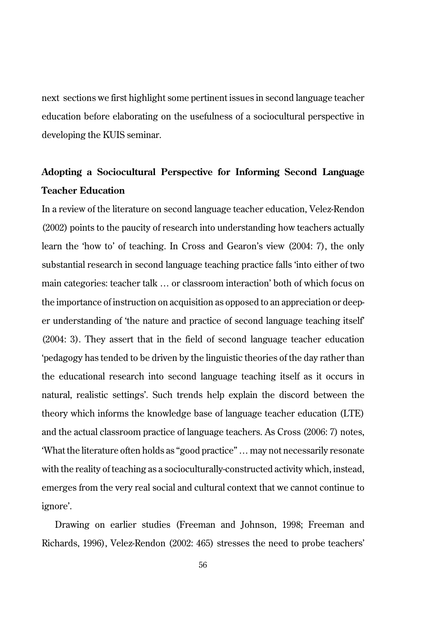next sections we first highlight some pertinent issues in second language teacher education before elaborating on the usefulness of a sociocultural perspective in developing the KUIS seminar.

# **Adopting a Sociocultural Perspective for Informing Second Language Teacher Education**

In a review of the literature on second language teacher education, Velez-Rendon (2002) points to the paucity of research into understanding how teachers actually learn the 'how to' of teaching. In Cross and Gearon's view (2004: 7), the only substantial research in second language teaching practice falls 'into either of two main categories: teacher talk … or classroom interaction' both of which focus on the importance of instruction on acquisition as opposed to an appreciation or deeper understanding of 'the nature and practice of second language teaching itself' (2004: 3). They assert that in the field of second language teacher education 'pedagogy has tended to be driven by the linguistic theories of the day rather than the educational research into second language teaching itself as it occurs in natural, realistic settings'. Such trends help explain the discord between the theory which informs the knowledge base of language teacher education (LTE) and the actual classroom practice of language teachers. As Cross (2006: 7) notes, 'What the literature often holds as "good practice" … may not necessarily resonate with the reality of teaching as a socioculturally-constructed activity which, instead, emerges from the very real social and cultural context that we cannot continue to ignore'.

Drawing on earlier studies (Freeman and Johnson, 1998; Freeman and Richards, 1996), Velez-Rendon (2002: 465) stresses the need to probe teachers'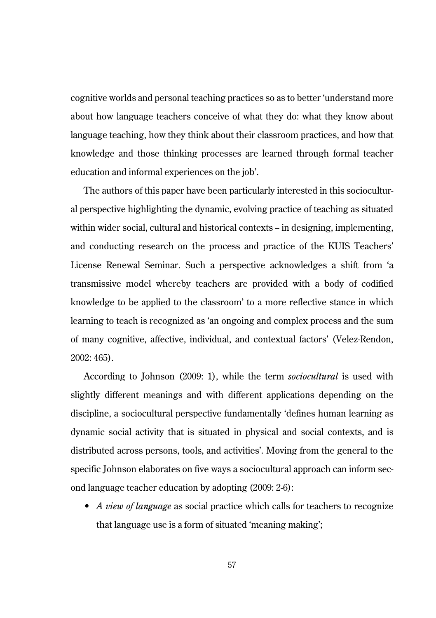cognitive worlds and personal teaching practices so as to better 'understand more about how language teachers conceive of what they do: what they know about language teaching, how they think about their classroom practices, and how that knowledge and those thinking processes are learned through formal teacher education and informal experiences on the job'.

The authors of this paper have been particularly interested in this sociocultural perspective highlighting the dynamic, evolving practice of teaching as situated within wider social, cultural and historical contexts – in designing, implementing, and conducting research on the process and practice of the KUIS Teachers' License Renewal Seminar. Such a perspective acknowledges a shift from 'a transmissive model whereby teachers are provided with a body of codified knowledge to be applied to the classroom' to a more reflective stance in which learning to teach is recognized as 'an ongoing and complex process and the sum of many cognitive, affective, individual, and contextual factors' (Velez-Rendon, 2002: 465).

According to Johnson (2009: 1), while the term *sociocultural* is used with slightly different meanings and with different applications depending on the discipline, a sociocultural perspective fundamentally 'defines human learning as dynamic social activity that is situated in physical and social contexts, and is distributed across persons, tools, and activities'. Moving from the general to the specific Johnson elaborates on five ways a sociocultural approach can inform second language teacher education by adopting (2009: 2-6):

• *A view of language* as social practice which calls for teachers to recognize that language use is a form of situated 'meaning making';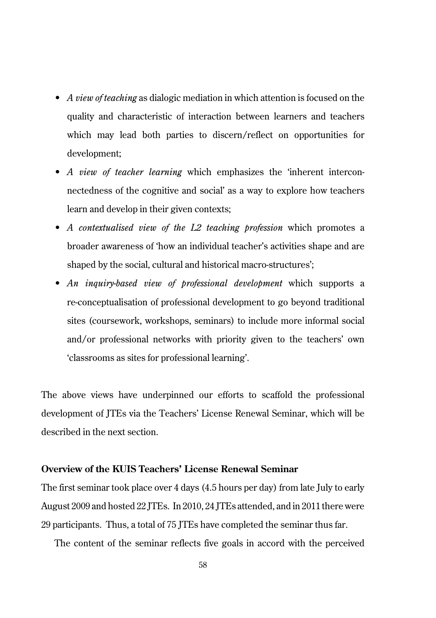- *A view of teaching* as dialogic mediation in which attention is focused on the quality and characteristic of interaction between learners and teachers which may lead both parties to discern/reflect on opportunities for development;
- *A view of teacher learning* which emphasizes the 'inherent interconnectedness of the cognitive and social' as a way to explore how teachers learn and develop in their given contexts;
- *A contextualised view of the L2 teaching profession* which promotes a broader awareness of 'how an individual teacher's activities shape and are shaped by the social, cultural and historical macro-structures';
- *An inquiry-based view of professional development* which supports a re-conceptualisation of professional development to go beyond traditional sites (coursework, workshops, seminars) to include more informal social and/or professional networks with priority given to the teachers' own 'classrooms as sites for professional learning'.

The above views have underpinned our efforts to scaffold the professional development of JTEs via the Teachers' License Renewal Seminar, which will be described in the next section.

## **Overview of the KUIS Teachers' License Renewal Seminar**

The first seminar took place over 4 days (4.5 hours per day) from late July to early August 2009 and hosted 22 JTEs. In 2010, 24 JTEs attended, and in 2011 there were 29 participants. Thus, a total of 75 JTEs have completed the seminar thus far.

The content of the seminar reflects five goals in accord with the perceived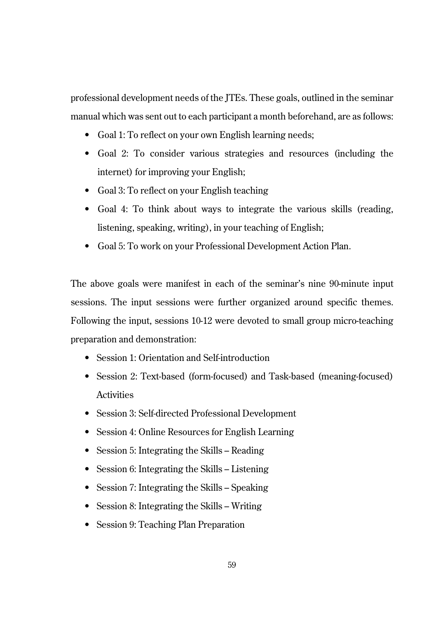professional development needs of the JTEs. These goals, outlined in the seminar manual which was sent out to each participant a month beforehand, are as follows:

- Goal 1: To reflect on your own English learning needs;
- Goal 2: To consider various strategies and resources (including the internet) for improving your English;
- Goal 3: To reflect on your English teaching
- Goal 4: To think about ways to integrate the various skills (reading, listening, speaking, writing), in your teaching of English;
- Goal 5: To work on your Professional Development Action Plan.

The above goals were manifest in each of the seminar's nine 90-minute input sessions. The input sessions were further organized around specific themes. Following the input, sessions 10-12 were devoted to small group micro-teaching preparation and demonstration:

- Session 1: Orientation and Self-introduction
- Session 2: Text-based (form-focused) and Task-based (meaning-focused) **Activities**
- Session 3: Self-directed Professional Development
- Session 4: Online Resources for English Learning
- Session 5: Integrating the Skills Reading
- Session 6: Integrating the Skills Listening
- Session 7: Integrating the Skills Speaking
- Session 8: Integrating the Skills Writing
- Session 9: Teaching Plan Preparation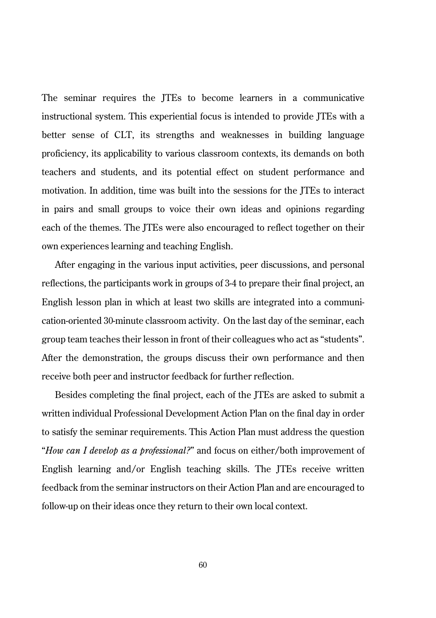The seminar requires the JTEs to become learners in a communicative instructional system. This experiential focus is intended to provide JTEs with a better sense of CLT, its strengths and weaknesses in building language proficiency, its applicability to various classroom contexts, its demands on both teachers and students, and its potential effect on student performance and motivation. In addition, time was built into the sessions for the JTEs to interact in pairs and small groups to voice their own ideas and opinions regarding each of the themes. The JTEs were also encouraged to reflect together on their own experiences learning and teaching English.

After engaging in the various input activities, peer discussions, and personal reflections, the participants work in groups of 3-4 to prepare their final project, an English lesson plan in which at least two skills are integrated into a communication-oriented 30-minute classroom activity. On the last day of the seminar, each group team teaches their lesson in front of their colleagues who act as "students". After the demonstration, the groups discuss their own performance and then receive both peer and instructor feedback for further reflection.

Besides completing the final project, each of the JTEs are asked to submit a written individual Professional Development Action Plan on the final day in order to satisfy the seminar requirements. This Action Plan must address the question "*How can I develop as a professional?*" and focus on either/both improvement of English learning and/or English teaching skills. The JTEs receive written feedback from the seminar instructors on their Action Plan and are encouraged to follow-up on their ideas once they return to their own local context.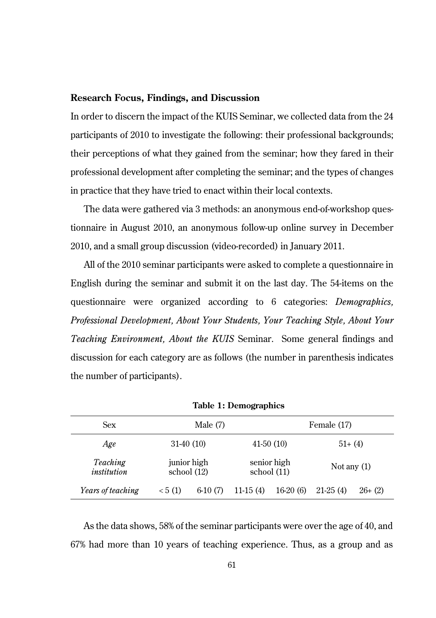#### **Research Focus, Findings, and Discussion**

In order to discern the impact of the KUIS Seminar, we collected data from the 24 participants of 2010 to investigate the following: their professional backgrounds; their perceptions of what they gained from the seminar; how they fared in their professional development after completing the seminar; and the types of changes in practice that they have tried to enact within their local contexts.

The data were gathered via 3 methods: an anonymous end-of-workshop questionnaire in August 2010, an anonymous follow-up online survey in December 2010, and a small group discussion (video-recorded) in January 2011.

All of the 2010 seminar participants were asked to complete a questionnaire in English during the seminar and submit it on the last day. The 54-items on the questionnaire were organized according to 6 categories: *Demographics, Professional Development, About Your Students, Your Teaching Style, About Your Teaching Environment, About the KUIS* Seminar. Some general findings and discussion for each category are as follows (the number in parenthesis indicates the number of participants).

| Sex                     | Male $(7)$                   |           |            | Female (17)                  |               |           |
|-------------------------|------------------------------|-----------|------------|------------------------------|---------------|-----------|
| Age                     | $31-40(10)$                  |           |            | $41-50(10)$                  | $51+ (4)$     |           |
| Teaching<br>institution | junior high<br>school $(12)$ |           |            | senior high<br>school $(11)$ | Not any $(1)$ |           |
| Years of teaching       | < 5(1)                       | $6-10(7)$ | $11-15(4)$ | $16-20(6)$                   | $21-25(4)$    | $26+ (2)$ |

**Table 1: Demographics** 

As the data shows, 58% of the seminar participants were over the age of 40, and 67% had more than 10 years of teaching experience. Thus, as a group and as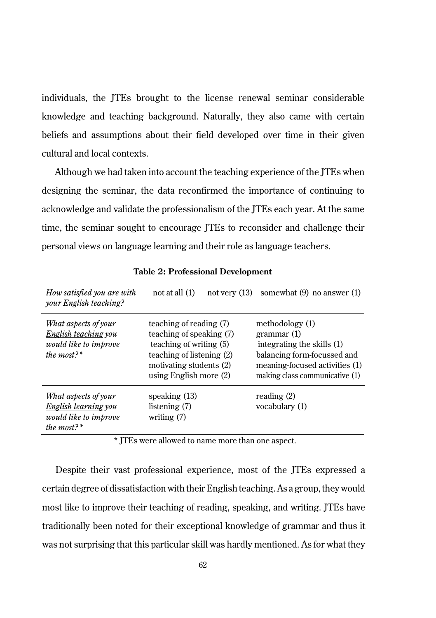individuals, the JTEs brought to the license renewal seminar considerable knowledge and teaching background. Naturally, they also came with certain beliefs and assumptions about their field developed over time in their given cultural and local contexts.

Although we had taken into account the teaching experience of the JTEs when designing the seminar, the data reconfirmed the importance of continuing to acknowledge and validate the professionalism of the JTEs each year. At the same time, the seminar sought to encourage JTEs to reconsider and challenge their personal views on language learning and their role as language teachers.

| How satisfied you are with<br>your English teaching?                                            | not at all $(1)$<br>not very $(13)$                                                                                                                              | somewhat $(9)$ no answer $(1)$                                                                                                                                 |
|-------------------------------------------------------------------------------------------------|------------------------------------------------------------------------------------------------------------------------------------------------------------------|----------------------------------------------------------------------------------------------------------------------------------------------------------------|
| What aspects of your<br>English teaching you<br>would like to improve<br>the most?*             | teaching of reading (7)<br>teaching of speaking (7)<br>teaching of writing (5)<br>teaching of listening (2)<br>motivating students (2)<br>using English more (2) | methodology (1)<br>grammar(1)<br>integrating the skills (1)<br>balancing form-focussed and<br>meaning-focused activities (1)<br>making class communicative (1) |
| What aspects of your<br>English learning you<br>would like to improve<br>the most? <sup>*</sup> | speaking $(13)$<br>listening $(7)$<br>writing $(7)$                                                                                                              | reading $(2)$<br>vocabulary (1)                                                                                                                                |

**Table 2: Professional Development**

\* JTEs were allowed to name more than one aspect.

Despite their vast professional experience, most of the JTEs expressed a certain degree of dissatisfaction with their English teaching. As a group, they would most like to improve their teaching of reading, speaking, and writing. JTEs have traditionally been noted for their exceptional knowledge of grammar and thus it was not surprising that this particular skill was hardly mentioned. As for what they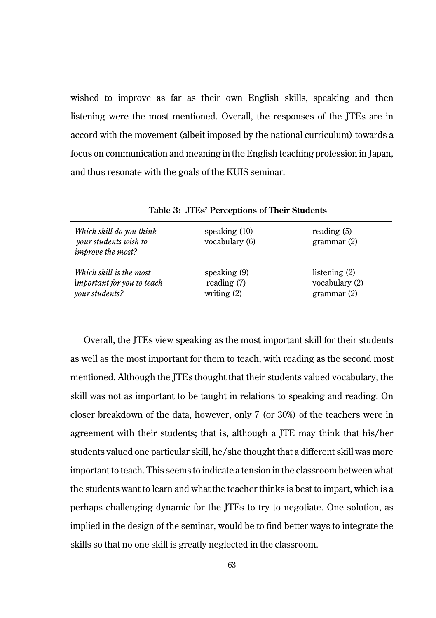wished to improve as far as their own English skills, speaking and then listening were the most mentioned. Overall, the responses of the JTEs are in accord with the movement (albeit imposed by the national curriculum) towards a focus on communication and meaning in the English teaching profession in Japan, and thus resonate with the goals of the KUIS seminar.

| Which skill do you think<br>your students wish to<br><i>improve the most?</i> | speaking $(10)$<br>vocabulary (6) | reading $(5)$<br>grammar(2) |
|-------------------------------------------------------------------------------|-----------------------------------|-----------------------------|
| Which skill is the most                                                       | speaking $(9)$                    | listening $(2)$             |
| important for you to teach                                                    | reading $(7)$                     | vocabulary (2)              |
| your students?                                                                | writing $(2)$                     | grammar(2)                  |

**Table 3: JTEs' Perceptions of Their Students**

Overall, the JTEs view speaking as the most important skill for their students as well as the most important for them to teach, with reading as the second most mentioned. Although the JTEs thought that their students valued vocabulary, the skill was not as important to be taught in relations to speaking and reading. On closer breakdown of the data, however, only 7 (or 30%) of the teachers were in agreement with their students; that is, although a JTE may think that his/her students valued one particular skill, he/she thought that a different skill was more important to teach. This seems to indicate a tension in the classroom between what the students want to learn and what the teacher thinks is best to impart, which is a perhaps challenging dynamic for the JTEs to try to negotiate. One solution, as implied in the design of the seminar, would be to find better ways to integrate the skills so that no one skill is greatly neglected in the classroom.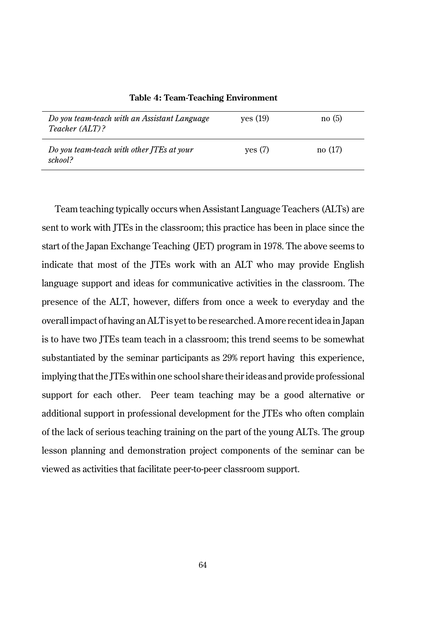| Do you team-teach with an Assistant Language<br>Teacher (ALT)? | ves (19) | no(5)  |
|----------------------------------------------------------------|----------|--------|
| Do you team-teach with other ITEs at your<br>school?           | ves (7)  | no(17) |

**Table 4: Team-Teaching Environment**

Team teaching typically occurs when Assistant Language Teachers (ALTs) are sent to work with JTEs in the classroom; this practice has been in place since the start of the Japan Exchange Teaching (JET) program in 1978. The above seems to indicate that most of the JTEs work with an ALT who may provide English language support and ideas for communicative activities in the classroom. The presence of the ALT, however, differs from once a week to everyday and the overall impact of having an ALT is yet to be researched. A more recent idea in Japan is to have two JTEs team teach in a classroom; this trend seems to be somewhat substantiated by the seminar participants as 29% report having this experience, implying that the JTEs within one school share their ideas and provide professional support for each other. Peer team teaching may be a good alternative or additional support in professional development for the JTEs who often complain of the lack of serious teaching training on the part of the young ALTs. The group lesson planning and demonstration project components of the seminar can be viewed as activities that facilitate peer-to-peer classroom support.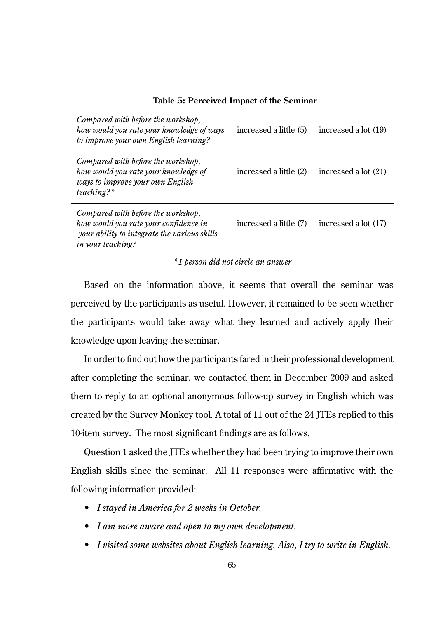| Table 5: Perceived Impact of the Seminar |  |  |  |
|------------------------------------------|--|--|--|
|------------------------------------------|--|--|--|

| Compared with before the workshop,<br>how would you rate your knowledge of ways<br>to improve your own English learning?                                | increased a little (5) | increased a lot (19) |
|---------------------------------------------------------------------------------------------------------------------------------------------------------|------------------------|----------------------|
| Compared with before the workshop,<br>how would you rate your knowledge of<br>ways to improve your own English<br>$teaching?$ <sup>*</sup>              | increased a little (2) | increased a lot (21) |
| Compared with before the workshop,<br>how would you rate your confidence in<br>your ability to integrate the various skills<br><i>in your teaching?</i> | increased a little (7) | increased a lot (17) |

*\*1 person did not circle an answer* 

Based on the information above, it seems that overall the seminar was perceived by the participants as useful. However, it remained to be seen whether the participants would take away what they learned and actively apply their knowledge upon leaving the seminar.

In order to find out how the participants fared in their professional development after completing the seminar, we contacted them in December 2009 and asked them to reply to an optional anonymous follow-up survey in English which was created by the Survey Monkey tool. A total of 11 out of the 24 JTEs replied to this 10-item survey. The most significant findings are as follows.

Question 1 asked the JTEs whether they had been trying to improve their own English skills since the seminar. All 11 responses were affirmative with the following information provided:

- *I stayed in America for 2 weeks in October.*
- *I am more aware and open to my own development.*
- *I visited some websites about English learning. Also, I try to write in English.*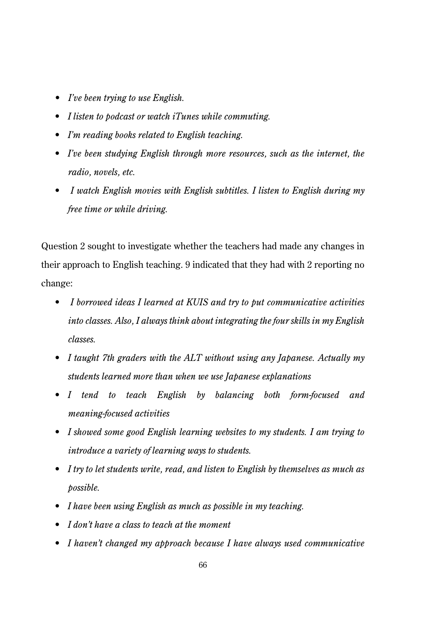- *I've been trying to use English.*
- *I listen to podcast or watch iTunes while commuting.*
- *I'm reading books related to English teaching.*
- *I've been studying English through more resources, such as the internet, the radio, novels, etc.*
- *I watch English movies with English subtitles. I listen to English during my free time or while driving.*

Question 2 sought to investigate whether the teachers had made any changes in their approach to English teaching. 9 indicated that they had with 2 reporting no change:

- *I borrowed ideas I learned at KUIS and try to put communicative activities into classes. Also, I always think about integrating the four skills in my English classes.*
- *I taught 7th graders with the ALT without using any Japanese. Actually my students learned more than when we use Japanese explanations*
- *I tend to teach English by balancing both form-focused and meaning-focused activities*
- *I showed some good English learning websites to my students. I am trying to introduce a variety of learning ways to students.*
- *I try to let students write, read, and listen to English by themselves as much as possible.*
- *I have been using English as much as possible in my teaching.*
- *I don't have a class to teach at the moment*
- *I haven't changed my approach because I have always used communicative*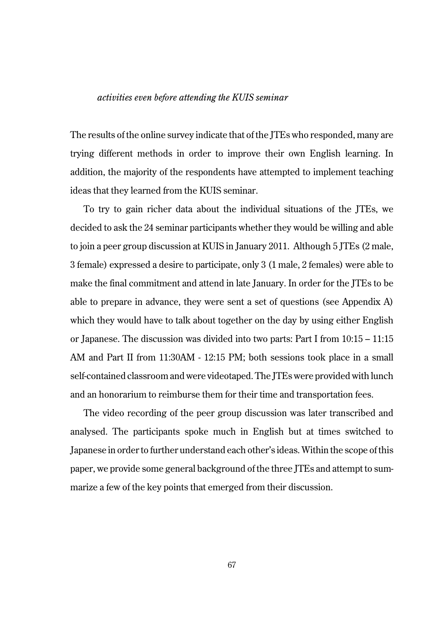## *activities even before attending the KUIS seminar*

The results of the online survey indicate that of the JTEs who responded, many are trying different methods in order to improve their own English learning. In addition, the majority of the respondents have attempted to implement teaching ideas that they learned from the KUIS seminar.

To try to gain richer data about the individual situations of the JTEs, we decided to ask the 24 seminar participants whether they would be willing and able to join a peer group discussion at KUIS in January 2011. Although 5 JTEs (2 male, 3 female) expressed a desire to participate, only 3 (1 male, 2 females) were able to make the final commitment and attend in late January. In order for the ITEs to be able to prepare in advance, they were sent a set of questions (see Appendix A) which they would have to talk about together on the day by using either English or Japanese. The discussion was divided into two parts: Part I from 10:15 – 11:15 AM and Part II from 11:30AM - 12:15 PM; both sessions took place in a small self-contained classroom and were videotaped. The JTEs were provided with lunch and an honorarium to reimburse them for their time and transportation fees.

The video recording of the peer group discussion was later transcribed and analysed. The participants spoke much in English but at times switched to Japanese in order to further understand each other's ideas. Within the scope of this paper, we provide some general background of the three JTEs and attempt to summarize a few of the key points that emerged from their discussion.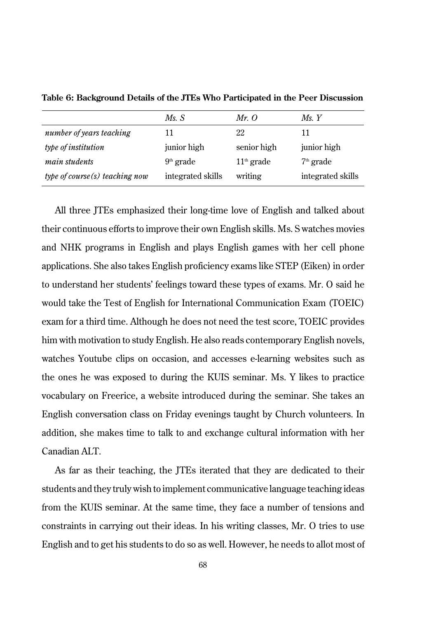|                                 | MsS               | Mr. O        | Ms. Y             |
|---------------------------------|-------------------|--------------|-------------------|
| number of years teaching        | 11                | 22           | 11                |
| type of institution             | junior high       | senior high  | junior high       |
| <i>main students</i>            | $9th$ grade       | $11th$ grade | $7th$ grade       |
| type of course (s) teaching now | integrated skills | writing      | integrated skills |

**Table 6: Background Details of the JTEs Who Participated in the Peer Discussion**

All three JTEs emphasized their long-time love of English and talked about their continuous efforts to improve their own English skills. Ms. S watches movies and NHK programs in English and plays English games with her cell phone applications. She also takes English proficiency exams like STEP (Eiken) in order to understand her students' feelings toward these types of exams. Mr. O said he would take the Test of English for International Communication Exam (TOEIC) exam for a third time. Although he does not need the test score, TOEIC provides him with motivation to study English. He also reads contemporary English novels, watches Youtube clips on occasion, and accesses e-learning websites such as the ones he was exposed to during the KUIS seminar. Ms. Y likes to practice vocabulary on Freerice, a website introduced during the seminar. She takes an English conversation class on Friday evenings taught by Church volunteers. In addition, she makes time to talk to and exchange cultural information with her Canadian ALT.

As far as their teaching, the JTEs iterated that they are dedicated to their students and they truly wish to implement communicative language teaching ideas from the KUIS seminar. At the same time, they face a number of tensions and constraints in carrying out their ideas. In his writing classes, Mr. O tries to use English and to get his students to do so as well. However, he needs to allot most of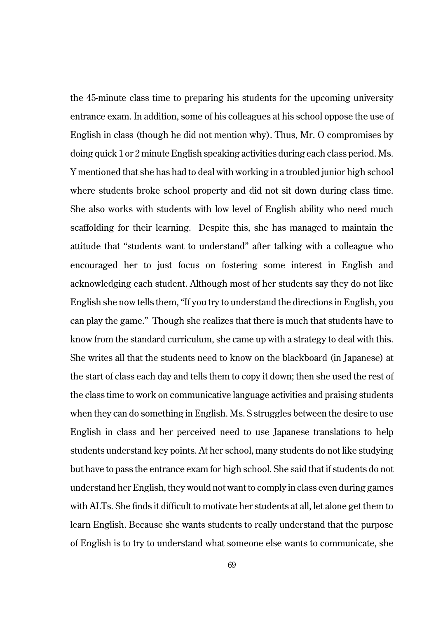the 45-minute class time to preparing his students for the upcoming university entrance exam. In addition, some of his colleagues at his school oppose the use of English in class (though he did not mention why). Thus, Mr. O compromises by doing quick 1 or 2 minute English speaking activities during each class period. Ms. Y mentioned that she has had to deal with working in a troubled junior high school where students broke school property and did not sit down during class time. She also works with students with low level of English ability who need much scaffolding for their learning. Despite this, she has managed to maintain the attitude that "students want to understand" after talking with a colleague who encouraged her to just focus on fostering some interest in English and acknowledging each student. Although most of her students say they do not like English she now tells them, "If you try to understand the directions in English, you can play the game." Though she realizes that there is much that students have to know from the standard curriculum, she came up with a strategy to deal with this. She writes all that the students need to know on the blackboard (in Japanese) at the start of class each day and tells them to copy it down; then she used the rest of the class time to work on communicative language activities and praising students when they can do something in English. Ms. S struggles between the desire to use English in class and her perceived need to use Japanese translations to help students understand key points. At her school, many students do not like studying but have to pass the entrance exam for high school. She said that if students do not understand her English, they would not want to comply in class even during games with ALTs. She finds it difficult to motivate her students at all, let alone get them to learn English. Because she wants students to really understand that the purpose of English is to try to understand what someone else wants to communicate, she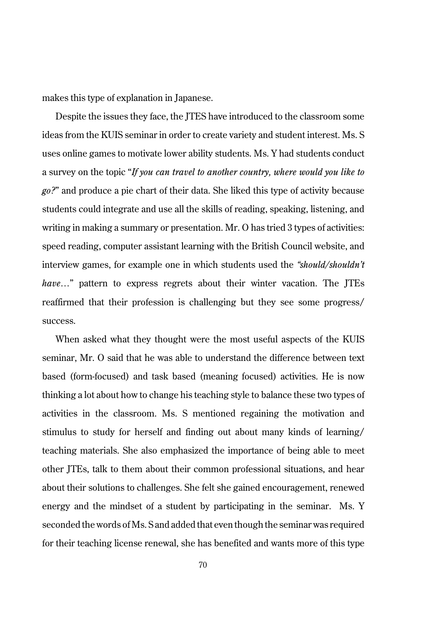makes this type of explanation in Japanese.

Despite the issues they face, the JTES have introduced to the classroom some ideas from the KUIS seminar in order to create variety and student interest. Ms. S uses online games to motivate lower ability students. Ms. Y had students conduct a survey on the topic "*If you can travel to another country, where would you like to go?*" and produce a pie chart of their data. She liked this type of activity because students could integrate and use all the skills of reading, speaking, listening, and writing in making a summary or presentation. Mr. O has tried 3 types of activities: speed reading, computer assistant learning with the British Council website, and interview games, for example one in which students used the *"should/shouldn't have…*" pattern to express regrets about their winter vacation. The JTEs reaffirmed that their profession is challenging but they see some progress/ success.

When asked what they thought were the most useful aspects of the KUIS seminar, Mr. O said that he was able to understand the difference between text based (form-focused) and task based (meaning focused) activities. He is now thinking a lot about how to change his teaching style to balance these two types of activities in the classroom. Ms. S mentioned regaining the motivation and stimulus to study for herself and finding out about many kinds of learning/ teaching materials. She also emphasized the importance of being able to meet other JTEs, talk to them about their common professional situations, and hear about their solutions to challenges. She felt she gained encouragement, renewed energy and the mindset of a student by participating in the seminar. Ms. Y seconded the words of Ms. S and added that even though the seminar was required for their teaching license renewal, she has benefited and wants more of this type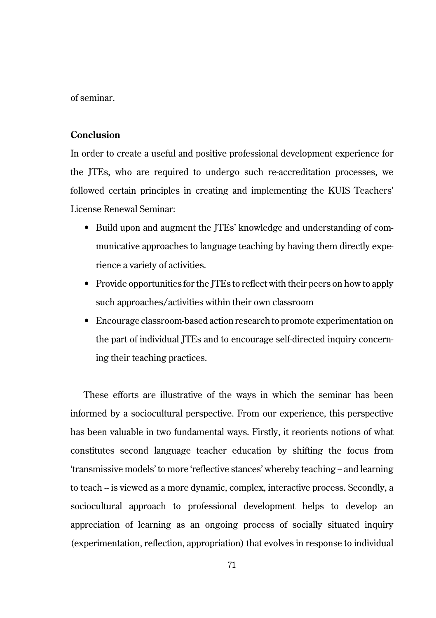of seminar.

# **Conclusion**

In order to create a useful and positive professional development experience for the JTEs, who are required to undergo such re-accreditation processes, we followed certain principles in creating and implementing the KUIS Teachers' License Renewal Seminar:

- Build upon and augment the JTEs' knowledge and understanding of communicative approaches to language teaching by having them directly experience a variety of activities.
- Provide opportunities for the JTEs to reflect with their peers on how to apply such approaches/activities within their own classroom
- Encourage classroom-based action research to promote experimentation on the part of individual JTEs and to encourage self-directed inquiry concerning their teaching practices.

These efforts are illustrative of the ways in which the seminar has been informed by a sociocultural perspective. From our experience, this perspective has been valuable in two fundamental ways. Firstly, it reorients notions of what constitutes second language teacher education by shifting the focus from 'transmissive models' to more 'reflective stances' whereby teaching -- and learning to teach -- is viewed as a more dynamic, complex, interactive process. Secondly, a sociocultural approach to professional development helps to develop an appreciation of learning as an ongoing process of socially situated inquiry (experimentation, reflection, appropriation) that evolves in response to individual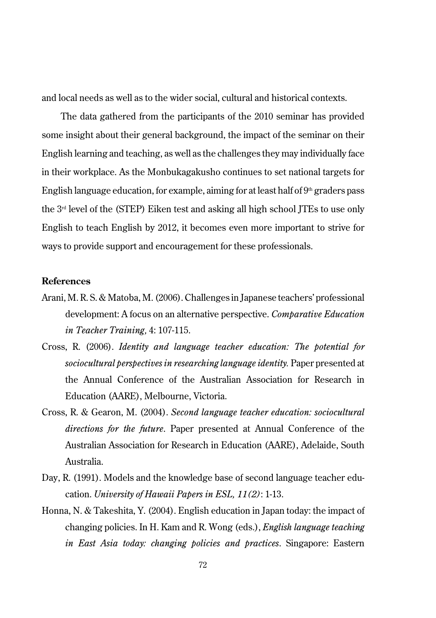and local needs as well as to the wider social, cultural and historical contexts.

The data gathered from the participants of the 2010 seminar has provided some insight about their general background, the impact of the seminar on their English learning and teaching, as well as the challenges they may individually face in their workplace. As the Monbukagakusho continues to set national targets for English language education, for example, aiming for at least half of  $9<sup>th</sup>$  graders pass the  $3<sup>rd</sup>$  level of the (STEP) Eiken test and asking all high school JTEs to use only English to teach English by 2012, it becomes even more important to strive for ways to provide support and encouragement for these professionals.

#### **References**

- Arani, M. R. S. & Matoba, M. (2006). Challenges in Japanese teachers' professional development: A focus on an alternative perspective. *Comparative Education in Teacher Training,* 4: 107-115.
- Cross, R. (2006). *Identity and language teacher education: The potential for sociocultural perspectives in researching language identity.* Paper presented at the Annual Conference of the Australian Association for Research in Education (AARE), Melbourne, Victoria.
- Cross, R. & Gearon, M. (2004). *Second language teacher education: sociocultural directions for the future*. Paper presented at Annual Conference of the Australian Association for Research in Education (AARE), Adelaide, South Australia.
- Day, R. (1991). Models and the knowledge base of second language teacher education. *University of Hawaii Papers in ESL, 11(2)*: 1-13.
- Honna, N. & Takeshita, Y. (2004). English education in Japan today: the impact of changing policies. In H. Kam and R. Wong (eds.), *English language teaching in East Asia today: changing policies and practices*. Singapore: Eastern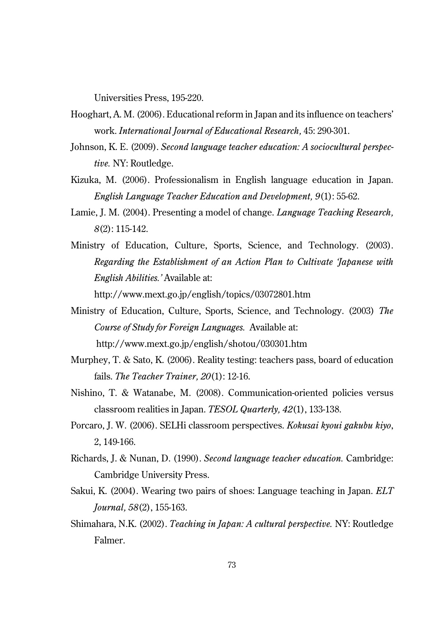Universities Press, 195-220.

- Hooghart, A. M. (2006). Educational reform in Japan and its influence on teachers' work. *International Journal of Educational Research,* 45: 290-301.
- Johnson, K. E. (2009). *Second language teacher education: A sociocultural perspective.* NY: Routledge.
- Kizuka, M. (2006). Professionalism in English language education in Japan. *English Language Teacher Education and Development, 9*(1): 55-62.
- Lamie, J. M. (2004). Presenting a model of change. *Language Teaching Research, 8*(2): 115-142.
- Ministry of Education, Culture, Sports, Science, and Technology. (2003). *Regarding the Establishment of an Action Plan to Cultivate 'Japanese with English Abilities.'* Available at:

http://www.mext.go.jp/english/topics/03072801.htm

- Ministry of Education, Culture, Sports, Science, and Technology. (2003) *The Course of Study for Foreign Languages.* Available at: http://www.mext.go.jp/english/shotou/030301.htm
- Murphey, T. & Sato, K. (2006). Reality testing: teachers pass, board of education fails. *The Teacher Trainer, 20*(1): 12-16.
- Nishino, T. & Watanabe, M. (2008). Communication-oriented policies versus classroom realities in Japan. *TESOL Quarterly, 42*(1), 133-138.
- Porcaro, J. W. (2006). SELHi classroom perspectives. *Kokusai kyoui gakubu kiyo*, 2, 149-166.
- Richards, J. & Nunan, D. (1990). *Second language teacher education.* Cambridge: Cambridge University Press.
- Sakui, K. (2004). Wearing two pairs of shoes: Language teaching in Japan. *ELT Journal, 58*(2), 155-163.
- Shimahara, N.K. (2002). *Teaching in Japan: A cultural perspective.* NY: Routledge Falmer.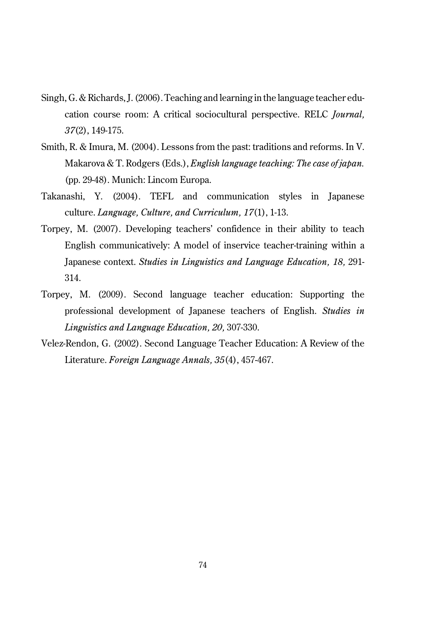- Singh, G. & Richards, J. (2006). Teaching and learning in the language teacher education course room: A critical sociocultural perspective. RELC *Journal, 37*(2), 149-175.
- Smith, R. & Imura, M. (2004). Lessons from the past: traditions and reforms. In V. Makarova & T. Rodgers (Eds.), *English language teaching: The case of japan.* (pp. 29-48). Munich: Lincom Europa.
- Takanashi, Y. (2004). TEFL and communication styles in Japanese culture. *Language, Culture, and Curriculum, 17*(1), 1-13.
- Torpey, M. (2007). Developing teachers' confidence in their ability to teach English communicatively: A model of inservice teacher-training within a Japanese context. *Studies in Linguistics and Language Education, 18,* 291- 314.
- Torpey, M. (2009). Second language teacher education: Supporting the professional development of Japanese teachers of English. *Studies in Linguistics and Language Education, 20,* 307-330.
- Velez-Rendon, G. (2002). Second Language Teacher Education: A Review of the Literature. *Foreign Language Annals, 35*(4), 457-467.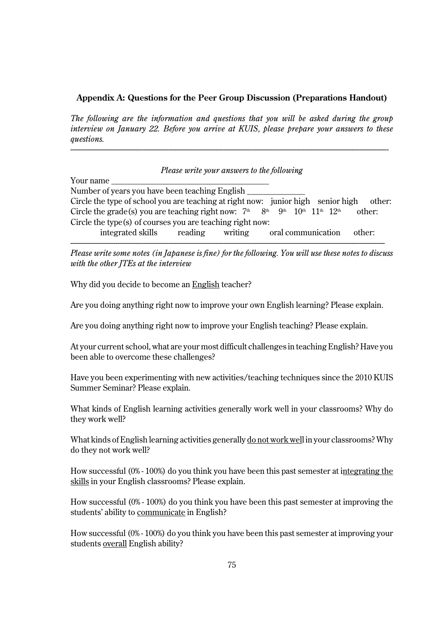#### **Appendix A: Questions for the Peer Group Discussion (Preparations Handout)**

*The following are the information and questions that you will be asked during the group interview on January 22. Before you arrive at KUIS, please prepare your answers to these questions.* 

------------------------------------------------------------------------------------------------------------------------------------------------------------------

|                                                                                        | Please write your answers to the following |         |                    |        |
|----------------------------------------------------------------------------------------|--------------------------------------------|---------|--------------------|--------|
| Your name                                                                              |                                            |         |                    |        |
| Number of years you have been teaching English                                         |                                            |         |                    |        |
| Circle the type of school you are teaching at right now: junior high senior high       |                                            |         |                    | other: |
| Circle the grade(s) you are teaching right now: $7th$ $8th$ $9th$ $10th$ $11th$ $12th$ |                                            |         |                    | other: |
| Circle the type $(s)$ of courses you are teaching right now:                           |                                            |         |                    |        |
| integrated skills reading                                                              |                                            | writing | oral communication | other: |

---------------------------------------------------------------------------------------------------------------------------------------------------------------- *Please write some notes (in Japanese is fine) for the following. You will use these notes to discuss with the other JTEs at the interview*

Why did you decide to become an English teacher?

Are you doing anything right now to improve your own English learning? Please explain.

Are you doing anything right now to improve your English teaching? Please explain.

At your current school, what are your most difficult challenges in teaching English? Have you been able to overcome these challenges?

Have you been experimenting with new activities/teaching techniques since the 2010 KUIS Summer Seminar? Please explain.

What kinds of English learning activities generally work well in your classrooms? Why do they work well?

What kinds of English learning activities generally do not work well in your classrooms? Why do they not work well?

How successful (0% - 100%) do you think you have been this past semester at integrating the skills in your English classrooms? Please explain.

How successful (0% - 100%) do you think you have been this past semester at improving the students' ability to communicate in English?

How successful (0% - 100%) do you think you have been this past semester at improving your students overall English ability?